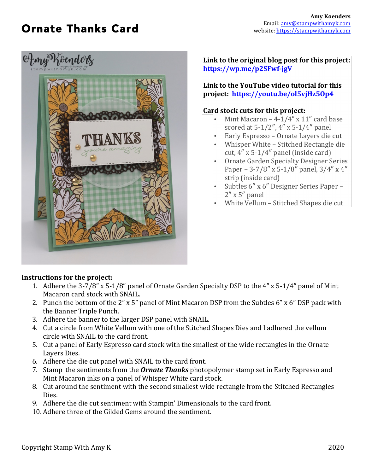## Ornate Thanks Card



**Link to the original blog post for this project: https://wp.me/p2SFwf-jgV**

Link to the YouTube video tutorial for this **project: https://youtu.be/ol5vjHz5Op4**

## **Card stock cuts for this project:**

- Mint Macaron  $-4-1/4$ " x  $11$ " card base scored at  $5-1/2$ ",  $4$ " x  $5-1/4$ " panel
- Early Espresso Ornate Layers die cut
- Whisper White Stitched Rectangle die
- cut,  $4'' \times 5-1/4''$  panel (inside card) Ornate Garden Specialty Designer Series
- Paper 3-7/8" x 5-1/8" panel,  $3/4$ " x 4" strip (inside card)
- Subtles 6" x 6" Designer Series Paper - $2'' \times 5''$  panel
- White Vellum Stitched Shapes die cut

## **Instructions for the project:**

- 1. Adhere the 3-7/8" x 5-1/8" panel of Ornate Garden Specialty DSP to the 4" x 5-1/4" panel of Mint Macaron card stock with SNAIL.
- 2. Punch the bottom of the  $2$ " x 5" panel of Mint Macaron DSP from the Subtles  $6$ " x  $6$ " DSP pack with the Banner Triple Punch.
- 3. Adhere the banner to the larger DSP panel with SNAIL.
- 4. Cut a circle from White Vellum with one of the Stitched Shapes Dies and I adhered the vellum circle with SNAIL to the card front.
- 5. Cut a panel of Early Espresso card stock with the smallest of the wide rectangles in the Ornate Layers Dies.
- 6. Adhere the die cut panel with SNAIL to the card front.
- 7. Stamp the sentiments from the **Ornate Thanks** photopolymer stamp set in Early Espresso and Mint Macaron inks on a panel of Whisper White card stock.
- 8. Cut around the sentiment with the second smallest wide rectangle from the Stitched Rectangles Dies.
- 9. Adhere the die cut sentiment with Stampin' Dimensionals to the card front.
- 10. Adhere three of the Gilded Gems around the sentiment.